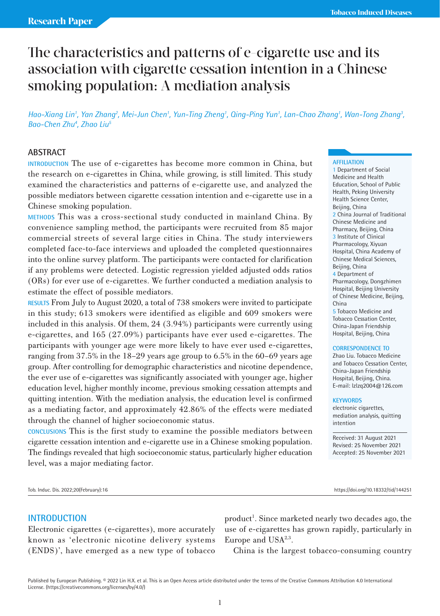# The characteristics and patterns of e-cigarette use and its association with cigarette cessation intention in a Chinese smoking population: A mediation analysis

Hao-Xiang Lin<sup>1</sup>, Yan Zhang<sup>2</sup>, Mei-Jun Chen<sup>1</sup>, Yun-Ting Zheng<sup>1</sup>, Qing-Ping Yun<sup>1</sup>, Lan-Chao Zhang<sup>1</sup>, Wan-Tong Zhang<sup>3</sup>, *Bao-Chen Zhu4 , Zhao Liu5* 

# **ABSTRACT**

**INTRODUCTION** The use of e-cigarettes has become more common in China, but the research on e-cigarettes in China, while growing, is still limited. This study examined the characteristics and patterns of e-cigarette use, and analyzed the possible mediators between cigarette cessation intention and e-cigarette use in a Chinese smoking population.

**METHODS** This was a cross-sectional study conducted in mainland China. By convenience sampling method, the participants were recruited from 85 major commercial streets of several large cities in China. The study interviewers completed face-to-face interviews and uploaded the completed questionnaires into the online survey platform. The participants were contacted for clarification if any problems were detected. Logistic regression yielded adjusted odds ratios (ORs) for ever use of e-cigarettes. We further conducted a mediation analysis to estimate the effect of possible mediators.

**RESULTS** From July to August 2020, a total of 738 smokers were invited to participate in this study; 613 smokers were identified as eligible and 609 smokers were included in this analysis. Of them, 24 (3.94%) participants were currently using e-cigarettes, and 165 (27.09%) participants have ever used e-cigarettes. The participants with younger age were more likely to have ever used e-cigarettes, ranging from 37.5% in the 18–29 years age group to 6.5% in the 60–69 years age group. After controlling for demographic characteristics and nicotine dependence, the ever use of e-cigarettes was significantly associated with younger age, higher education level, higher monthly income, previous smoking cessation attempts and quitting intention. With the mediation analysis, the education level is confirmed as a mediating factor, and approximately 42.86% of the effects were mediated through the channel of higher socioeconomic status.

**CONCLUSIONS** This is the first study to examine the possible mediators between cigarette cessation intention and e-cigarette use in a Chinese smoking population. The findings revealed that high socioeconomic status, particularly higher education level, was a major mediating factor.

**AFFILIATION**

1 Department of Social Medicine and Health Education, School of Public Health, Peking University Health Science Center, Beijing, China 2 China Journal of Traditional Chinese Medicine and Pharmacy, Beijing, China 3 Institute of Clinical Pharmacology, Xiyuan Hospital, China Academy of Chinese Medical Sciences, Beijing, China 4 Department of Pharmacology, Dongzhimen Hospital, Beijing University of Chinese Medicine, Beijing, China

5 Tobacco Medicine and Tobacco Cessation Center, China-Japan Friendship Hospital, Beijing, China

#### **CORRESPONDENCE TO**

Zhao Liu. Tobacco Medicine and Tobacco Cessation Center, China-Japan Friendship Hospital, Beijing, China. E-mail: lzlzq2004@126.com

#### **KEYWORDS**

electronic cigarettes, mediation analysis, quitting intention

Received: 31 August 2021 Revised: 25 November 2021 Accepted: 25 November 2021

Tob. Induc. Dis. 2022;20(February):16 https://doi.org/10.18332/tid/144251

# **INTRODUCTION**

Electronic cigarettes (e-cigarettes), more accurately known as 'electronic nicotine delivery systems (ENDS)', have emerged as a new type of tobacco

product<sup>1</sup>. Since marketed nearly two decades ago, the use of e-cigarettes has grown rapidly, particularly in Europe and  $USA<sup>2,3</sup>$ .

China is the largest tobacco-consuming country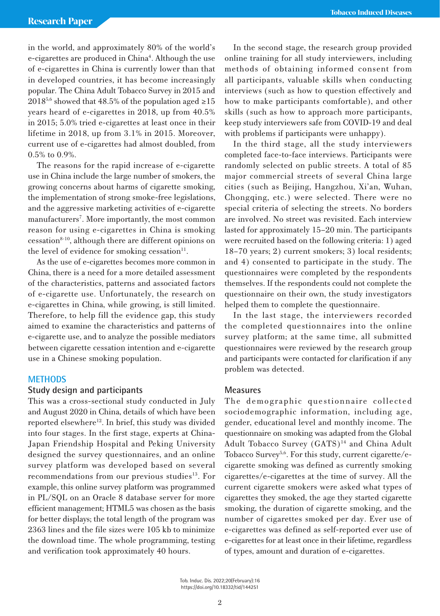in the world, and approximately 80% of the world's e-cigarettes are produced in China<sup>4</sup>. Although the use of e-cigarettes in China is currently lower than that in developed countries, it has become increasingly popular. The China Adult Tobacco Survey in 2015 and  $2018^{5,6}$  showed that 48.5% of the population aged ≥15 years heard of e-cigarettes in 2018, up from 40.5% in 2015; 5.0% tried e-cigarettes at least once in their lifetime in 2018, up from 3.1% in 2015. Moreover, current use of e-cigarettes had almost doubled, from 0.5% to 0.9%.

The reasons for the rapid increase of e-cigarette use in China include the large number of smokers, the growing concerns about harms of cigarette smoking, the implementation of strong smoke-free legislations, and the aggressive marketing activities of e-cigarette manufacturers<sup>7</sup>. More importantly, the most common reason for using e-cigarettes in China is smoking  $cessation<sup>8-10</sup>$ , although there are different opinions on the level of evidence for smoking cessation $11$ .

As the use of e-cigarettes becomes more common in China, there is a need for a more detailed assessment of the characteristics, patterns and associated factors of e-cigarette use. Unfortunately, the research on e-cigarettes in China, while growing, is still limited. Therefore, to help fill the evidence gap, this study aimed to examine the characteristics and patterns of e-cigarette use, and to analyze the possible mediators between cigarette cessation intention and e-cigarette use in a Chinese smoking population.

# **METHODS**

# **Study design and participants**

This was a cross-sectional study conducted in July and August 2020 in China, details of which have been reported elsewhere<sup>12</sup>. In brief, this study was divided into four stages. In the first stage, experts at China-Japan Friendship Hospital and Peking University designed the survey questionnaires, and an online survey platform was developed based on several recommendations from our previous studies<sup>13</sup>. For example, this online survey platform was programmed in PL/SQL on an Oracle 8 database server for more efficient management; HTML5 was chosen as the basis for better displays; the total length of the program was 2363 lines and the file sizes were 105 kb to minimize the download time. The whole programming, testing and verification took approximately 40 hours.

In the second stage, the research group provided online training for all study interviewers, including methods of obtaining informed consent from all participants, valuable skills when conducting interviews (such as how to question effectively and how to make participants comfortable), and other skills (such as how to approach more participants, keep study interviewers safe from COVID-19 and deal with problems if participants were unhappy).

In the third stage, all the study interviewers completed face-to-face interviews. Participants were randomly selected on public streets. A total of 85 major commercial streets of several China large cities (such as Beijing, Hangzhou, Xi'an, Wuhan, Chongqing, etc.) were selected. There were no special criteria of selecting the streets. No borders are involved. No street was revisited. Each interview lasted for approximately 15–20 min. The participants were recruited based on the following criteria: 1) aged 18–70 years; 2) current smokers; 3) local residents; and 4) consented to participate in the study. The questionnaires were completed by the respondents themselves. If the respondents could not complete the questionnaire on their own, the study investigators helped them to complete the questionnaire.

In the last stage, the interviewers recorded the completed questionnaires into the online survey platform; at the same time, all submitted questionnaires were reviewed by the research group and participants were contacted for clarification if any problem was detected.

# **Measures**

The demographic questionnaire collected sociodemographic information, including age, gender, educational level and monthly income. The questionnaire on smoking was adapted from the Global Adult Tobacco Survey (GATS)<sup>14</sup> and China Adult Tobacco Survey<sup>5,6</sup>. For this study, current cigarette/ecigarette smoking was defined as currently smoking cigarettes/e-cigarettes at the time of survey. All the current cigarette smokers were asked what types of cigarettes they smoked, the age they started cigarette smoking, the duration of cigarette smoking, and the number of cigarettes smoked per day. Ever use of e-cigarettes was defined as self-reported ever use of e-cigarettes for at least once in their lifetime, regardless of types, amount and duration of e-cigarettes.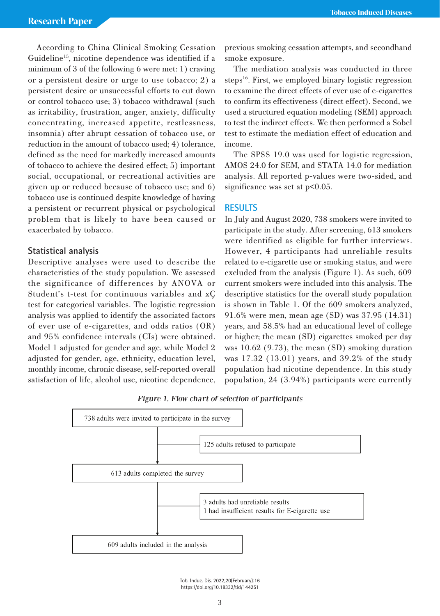According to China Clinical Smoking Cessation Guideline15, nicotine dependence was identified if a minimum of 3 of the following 6 were met: 1) craving or a persistent desire or urge to use tobacco; 2) a persistent desire or unsuccessful efforts to cut down or control tobacco use; 3) tobacco withdrawal (such as irritability, frustration, anger, anxiety, difficulty concentrating, increased appetite, restlessness, insomnia) after abrupt cessation of tobacco use, or reduction in the amount of tobacco used; 4) tolerance, defined as the need for markedly increased amounts of tobacco to achieve the desired effect; 5) important social, occupational, or recreational activities are given up or reduced because of tobacco use; and 6) tobacco use is continued despite knowledge of having a persistent or recurrent physical or psychological problem that is likely to have been caused or exacerbated by tobacco.

# **Statistical analysis**

Descriptive analyses were used to describe the characteristics of the study population. We assessed the significance of differences by ANOVA or Student's t-test for continuous variables and xC test for categorical variables. The logistic regression analysis was applied to identify the associated factors of ever use of e-cigarettes, and odds ratios (OR) and 95% confidence intervals (CIs) were obtained. Model 1 adjusted for gender and age, while Model 2 adjusted for gender, age, ethnicity, education level, monthly income, chronic disease, self-reported overall satisfaction of life, alcohol use, nicotine dependence, previous smoking cessation attempts, and secondhand smoke exposure.

The mediation analysis was conducted in three steps<sup>16</sup>. First, we employed binary logistic regression to examine the direct effects of ever use of e-cigarettes to confirm its effectiveness (direct effect). Second, we used a structured equation modeling (SEM) approach to test the indirect effects. We then performed a Sobel test to estimate the mediation effect of education and income.

The SPSS 19.0 was used for logistic regression, AMOS 24.0 for SEM, and STATA 14.0 for mediation analysis. All reported p-values were two-sided, and significance was set at  $p<0.05$ .

# **RESULTS**

In July and August 2020, 738 smokers were invited to participate in the study. After screening, 613 smokers were identified as eligible for further interviews. However, 4 participants had unreliable results related to e-cigarette use or smoking status, and were excluded from the analysis (Figure 1). As such, 609 current smokers were included into this analysis. The descriptive statistics for the overall study population is shown in Table 1. Of the 609 smokers analyzed, 91.6% were men, mean age (SD) was 37.95 (14.31) years, and 58.5% had an educational level of college or higher; the mean (SD) cigarettes smoked per day was 10.62 (9.73), the mean (SD) smoking duration was 17.32 (13.01) years, and 39.2% of the study population had nicotine dependence. In this study population, 24 (3.94%) participants were currently

Figure 1. Flow chart of selection of participants



Tob. Induc. Dis. 2022;20(February):16 https://doi.org/10.18332/tid/144251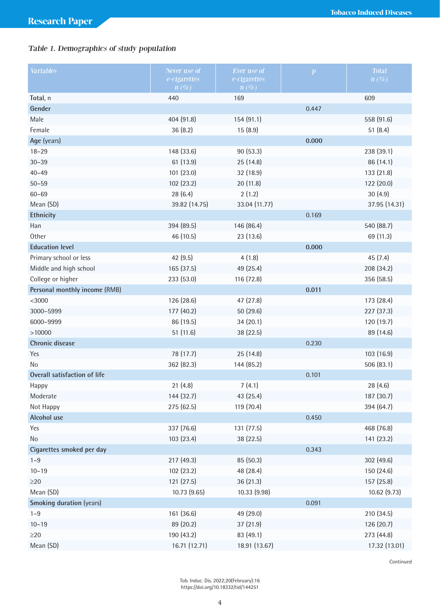# Table 1. Demographics of study population

| Variables                     | Never use of<br>e-cigarettes | Ever use of<br>e-cigarettes | $\boldsymbol{p}$ | <b>Total</b><br>$n(\%)$ |
|-------------------------------|------------------------------|-----------------------------|------------------|-------------------------|
|                               | $n(\%)$                      | $n(\%)$                     |                  |                         |
| Total, n                      | 440                          | 169                         |                  | 609                     |
| Gender                        |                              |                             | 0.447            |                         |
| Male                          | 404 (91.8)                   | 154 (91.1)                  |                  | 558 (91.6)              |
| Female                        | 36 (8.2)                     | 15(8.9)                     |                  | 51(8.4)                 |
| Age (years)                   |                              |                             | 0.000            |                         |
| $18 - 29$                     | 148 (33.6)                   | 90 (53.3)                   |                  | 238 (39.1)              |
| $30 - 39$                     | 61 (13.9)                    | 25 (14.8)                   |                  | 86 (14.1)               |
| $40 - 49$                     | 101 (23.0)                   | 32 (18.9)                   |                  | 133 (21.8)              |
| $50 - 59$                     | 102 (23.2)                   | 20 (11.8)                   |                  | 122 (20.0)              |
| $60 - 69$                     | 28 (6.4)                     | 2(1.2)                      |                  | 30(4.9)                 |
| Mean (SD)                     | 39.82 (14.75)                | 33.04 (11.77)               |                  | 37.95 (14.31)           |
| Ethnicity                     |                              |                             | 0.169            |                         |
| Han                           | 394 (89.5)                   | 146 (86.4)                  |                  | 540 (88.7)              |
| Other                         | 46 (10.5)                    | 23 (13.6)                   |                  | 69 (11.3)               |
| <b>Education level</b>        |                              |                             | 0.000            |                         |
| Primary school or less        | 42(9.5)                      | 4(1.8)                      |                  | 45(7.4)                 |
| Middle and high school        | 165 (37.5)                   | 49 (25.4)                   |                  | 208 (34.2)              |
| College or higher             | 233 (53.0)                   | 116 (72.8)                  |                  | 356 (58.5)              |
| Personal monthly income (RMB) |                              |                             | 0.011            |                         |
| $<$ 3000                      | 126 (28.6)                   | 47 (27.8)                   |                  | 173 (28.4)              |
| 3000-5999                     | 177 (40.2)                   | 50 (29.6)                   |                  | 227 (37.3)              |
| 6000-9999                     | 86 (19.5)                    | 34(20.1)                    |                  | 120 (19.7)              |
| >10000                        | 51 (11.6)                    | 38 (22.5)                   |                  | 89 (14.6)               |
| Chronic disease               |                              |                             | 0.230            |                         |
| Yes                           | 78 (17.7)                    | 25 (14.8)                   |                  | 103 (16.9)              |
| N <sub>o</sub>                | 362 (82.3)                   | 144 (85.2)                  |                  | 506 (83.1)              |
| Overall satisfaction of life  |                              |                             | 0.101            |                         |
| Happy                         | 21(4.8)                      | 7(4.1)                      |                  | 28 (4.6)                |
| Moderate                      | 144 (32.7)                   | 43 (25.4)                   |                  | 187 (30.7)              |
| Not Happy                     | 275 (62.5)                   | 119 (70.4)                  |                  | 394 (64.7)              |
| Alcohol use                   |                              |                             | 0.450            |                         |
| Yes                           | 337 (76.6)                   | 131 (77.5)                  |                  | 468 (76.8)              |
| No                            | 103 (23.4)                   | 38 (22.5)                   |                  | 141 (23.2)              |
| Cigarettes smoked per day     |                              |                             | 0.343            |                         |
| $1 - 9$                       | 217 (49.3)                   | 85 (50.3)                   |                  | 302 (49.6)              |
| $10 - 19$                     | 102 (23.2)                   | 48 (28.4)                   |                  | 150 (24.6)              |
| $\geq$ 20                     | 121 (27.5)                   | 36 (21.3)                   |                  | 157 (25.8)              |
| Mean (SD)                     | 10.73(9.65)                  | 10.33 (9.98)                |                  | 10.62 (9.73)            |
| Smoking duration (years)      |                              |                             | 0.091            |                         |
| $1 - 9$                       | 161 (36.6)                   | 49 (29.0)                   |                  | 210 (34.5)              |
| $10 - 19$                     | 89 (20.2)                    | 37 (21.9)                   |                  | 126 (20.7)              |
| $\geq$ 20                     | 190 (43.2)                   | 83 (49.1)                   |                  | 273 (44.8)              |
| Mean (SD)                     | 16.71 (12.71)                | 18.91 (13.67)               |                  | 17.32 (13.01)           |

Continued

Tob. Induc. Dis. 2022;20(February):16 https://doi.org/10.18332/tid/144251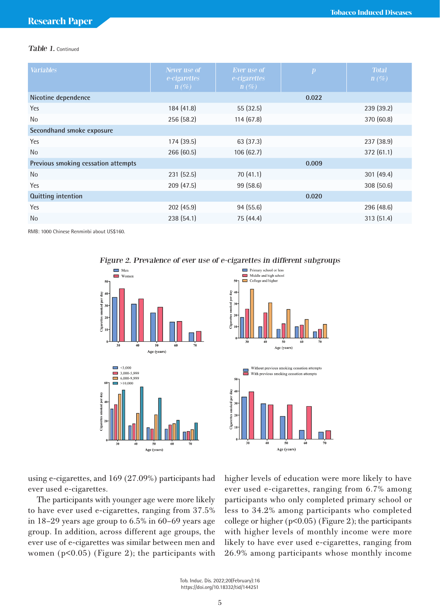# Table 1. Continued

| <b>Variables</b>                    | Never use of<br>e-cigarettes<br>$n(\%)$ | Ever use of<br>e-cigarettes<br>$n(\%)$ | $\boldsymbol{p}$ | <b>Total</b><br>$n(\%)$ |
|-------------------------------------|-----------------------------------------|----------------------------------------|------------------|-------------------------|
| Nicotine dependence                 |                                         |                                        | 0.022            |                         |
| Yes                                 | 184 (41.8)                              | 55(32.5)                               |                  | 239 (39.2)              |
| <b>No</b>                           | 256 (58.2)                              | 114(67.8)                              |                  | 370 (60.8)              |
| Secondhand smoke exposure           |                                         |                                        |                  |                         |
| Yes                                 | 174 (39.5)                              | 63 (37.3)                              |                  | 237 (38.9)              |
| <b>No</b>                           | 266 (60.5)                              | 106(62.7)                              |                  | 372(61.1)               |
| Previous smoking cessation attempts |                                         |                                        | 0.009            |                         |
| No                                  | 231 (52.5)                              | 70(41.1)                               |                  | 301(49.4)               |
| Yes                                 | 209 (47.5)                              | 99 (58.6)                              |                  | 308 (50.6)              |
| <b>Quitting intention</b>           |                                         |                                        | 0.020            |                         |
| Yes                                 | 202 (45.9)                              | 94 (55.6)                              |                  | 296 (48.6)              |
| N <sub>o</sub>                      | 238(54.1)                               | 75 (44.4)                              |                  | 313 (51.4)              |

RMB: 1000 Chinese Renminbi about US\$160.

# $\Box$  Men  $\blacksquare$  Women ettes smoked per day  $\overline{10}$  $\overline{20}$ Age (years)  $\Box$  <3,000  $3,000-5,999$  $\overline{6,000-9,999}$  $\Box$  >10.000 smoked per day Age (years)





using e-cigarettes, and 169 (27.09%) participants had ever used e-cigarettes.

The participants with younger age were more likely to have ever used e-cigarettes, ranging from 37.5% in 18–29 years age group to 6.5% in 60–69 years age group. In addition, across different age groups, the ever use of e-cigarettes was similar between men and women (p<0.05) (Figure 2); the participants with

higher levels of education were more likely to have ever used e-cigarettes, ranging from 6.7% among participants who only completed primary school or less to 34.2% among participants who completed college or higher (p<0.05) (Figure 2); the participants with higher levels of monthly income were more likely to have ever used e-cigarettes, ranging from 26.9% among participants whose monthly income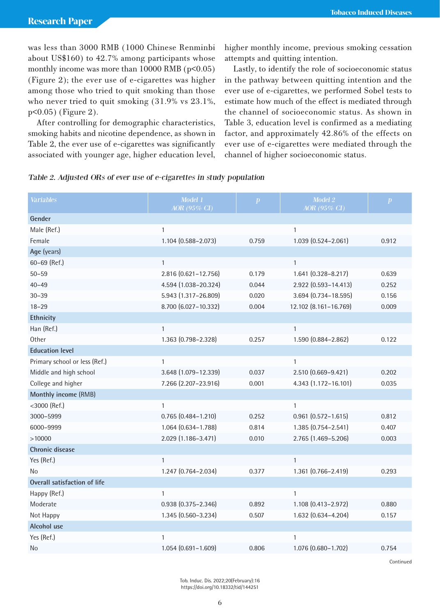was less than 3000 RMB (1000 Chinese Renminbi about US\$160) to 42.7% among participants whose monthly income was more than  $10000$  RMB ( $p<0.05$ ) (Figure 2); the ever use of e-cigarettes was higher among those who tried to quit smoking than those who never tried to quit smoking (31.9% vs 23.1%, p<0.05) (Figure 2).

After controlling for demographic characteristics, smoking habits and nicotine dependence, as shown in Table 2, the ever use of e-cigarettes was significantly associated with younger age, higher education level, higher monthly income, previous smoking cessation attempts and quitting intention.

Lastly, to identify the role of socioeconomic status in the pathway between quitting intention and the ever use of e-cigarettes, we performed Sobel tests to estimate how much of the effect is mediated through the channel of socioeconomic status. As shown in Table 3, education level is confirmed as a mediating factor, and approximately 42.86% of the effects on ever use of e-cigarettes were mediated through the channel of higher socioeconomic status.

|  | Table 2. Adjusted ORs of ever use of e-cigarettes in study population |  |
|--|-----------------------------------------------------------------------|--|
|  |                                                                       |  |

| Variables                     | Model 1<br>AOR (95% CI) | $\boldsymbol{p}$ | Model 2<br>AOR (95% CI)   | $\boldsymbol{p}$ |
|-------------------------------|-------------------------|------------------|---------------------------|------------------|
| Gender                        |                         |                  |                           |                  |
| Male (Ref.)                   | $\mathbf{1}$            |                  | $\mathbf{1}$              |                  |
| Female                        | 1.104 (0.588-2.073)     | 0.759            | 1.039 (0.524-2.061)       | 0.912            |
| Age (years)                   |                         |                  |                           |                  |
| 60-69 (Ref.)                  | $\mathbf{1}$            |                  | $\mathbf{1}$              |                  |
| $50 - 59$                     | 2.816 (0.621-12.756)    | 0.179            | 1.641 (0.328-8.217)       | 0.639            |
| $40 - 49$                     | 4.594 (1.038-20.324)    | 0.044            | 2.922 (0.593-14.413)      | 0.252            |
| $30 - 39$                     | 5.943 (1.317-26.809)    | 0.020            | 3.694 (0.734-18.595)      | 0.156            |
| $18 - 29$                     | 8.700 (6.027-10.332)    | 0.004            | 12.102 (8.161-16.769)     | 0.009            |
| Ethnicity                     |                         |                  |                           |                  |
| Han (Ref.)                    | $\mathbf{1}$            |                  | 1                         |                  |
| Other                         | 1.363 (0.798-2.328)     | 0.257            | 1.590 (0.884-2.862)       | 0.122            |
| <b>Education level</b>        |                         |                  |                           |                  |
| Primary school or less (Ref.) | $\mathbf{1}$            |                  | $\mathbf{1}$              |                  |
| Middle and high school        | 3.648 (1.079-12.339)    | 0.037            | 2.510 (0.669-9.421)       | 0.202            |
| College and higher            | 7.266 (2.207-23.916)    | 0.001            | 4.343 (1.172-16.101)      | 0.035            |
| Monthly income (RMB)          |                         |                  |                           |                  |
| $<$ 3000 (Ref.)               | $\mathbf{1}$            |                  | 1                         |                  |
| 3000-5999                     | $0.765(0.484 - 1.210)$  | 0.252            | $0.961$ $(0.572 - 1.615)$ | 0.812            |
| 6000-9999                     | 1.064 (0.634-1.788)     | 0.814            | 1.385 (0.754-2.541)       | 0.407            |
| >10000                        | 2.029 (1.186-3.471)     | 0.010            | 2.765 (1.469-5.206)       | 0.003            |
| Chronic disease               |                         |                  |                           |                  |
| Yes (Ref.)                    | $\mathbf{1}$            |                  | $\mathbf{1}$              |                  |
| <b>No</b>                     | 1.247 (0.764-2.034)     | 0.377            | 1.361 (0.766-2.419)       | 0.293            |
| Overall satisfaction of life  |                         |                  |                           |                  |
| Happy (Ref.)                  | $\mathbf{1}$            |                  | $\mathbf{1}$              |                  |
| Moderate                      | $0.938(0.375 - 2.346)$  | 0.892            | 1.108 (0.413-2.972)       | 0.880            |
| Not Happy                     | 1.345 (0.560-3.234)     | 0.507            | 1.632 (0.634-4.204)       | 0.157            |
| Alcohol use                   |                         |                  |                           |                  |
| Yes (Ref.)                    | 1                       |                  | $\mathbf{1}$              |                  |
| No                            | $1.054(0.691 - 1.609)$  | 0.806            | 1.076 (0.680-1.702)       | 0.754            |

**Continued** 

Tob. Induc. Dis. 2022;20(February):16 https://doi.org/10.18332/tid/144251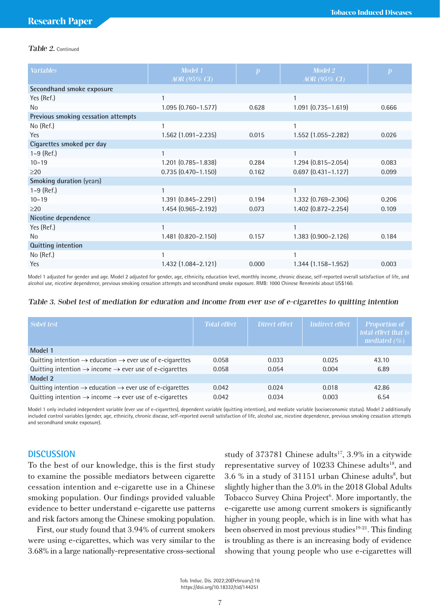### Table 2. Continued

| <b>Variables</b>                    | Model 1<br>AOR (95% CI)   | $\boldsymbol{p}$ | Model 2<br>AOR (95% CI)   | $\boldsymbol{p}$ |
|-------------------------------------|---------------------------|------------------|---------------------------|------------------|
| Secondhand smoke exposure           |                           |                  |                           |                  |
| Yes (Ref.)                          | 1                         |                  |                           |                  |
| N <sub>0</sub>                      | $1.095(0.760 - 1.577)$    | 0.628            | $1.091$ $(0.735 - 1.619)$ | 0.666            |
| Previous smoking cessation attempts |                           |                  |                           |                  |
| No (Ref.)                           |                           |                  |                           |                  |
| <b>Yes</b>                          | 1.562 (1.091-2.235)       | 0.015            | 1.552 (1.055-2.282)       | 0.026            |
| Cigarettes smoked per day           |                           |                  |                           |                  |
| $1-9$ (Ref.)                        | 1                         |                  |                           |                  |
| $10 - 19$                           | $1.201$ $(0.785 - 1.838)$ | 0.284            | $1.294(0.815 - 2.054)$    | 0.083            |
| $\geq$ 20                           | $0.735(0.470 - 1.150)$    | 0.162            | $0.697$ $(0.431 - 1.127)$ | 0.099            |
| <b>Smoking duration (years)</b>     |                           |                  |                           |                  |
| $1-9$ (Ref.)                        | 1                         |                  |                           |                  |
| $10 - 19$                           | 1.391 (0.845-2.291)       | 0.194            | 1.332 (0.769-2.306)       | 0.206            |
| >20                                 | 1.454 (0.965-2.192)       | 0.073            | 1.402 (0.872-2.254)       | 0.109            |
| Nicotine dependence                 |                           |                  |                           |                  |
| Yes (Ref.)                          | 1                         |                  |                           |                  |
| No                                  | 1.481 (0.820-2.150)       | 0.157            | 1.383 (0.900-2.126)       | 0.184            |
| Quitting intention                  |                           |                  |                           |                  |
| No (Ref.)                           |                           |                  |                           |                  |
| Yes                                 | $1.432(1.084 - 2.121)$    | 0.000            | $1.344(1.158 - 1.952)$    | 0.003            |

Model 1 adjusted for gender and age. Model 2 adjusted for gender, age, ethnicity, education level, monthly income, chronic disease, self-reported overall satisfaction of life, and alcohol use, nicotine dependence, previous smoking cessation attempts and secondhand smoke exposure. RMB: 1000 Chinese Renminbi about US\$160.

#### Table 3. Sobel test of mediation for education and income from ever use of e-cigarettes to quitting intention

| Sobel test                                                                        | <b>Total effect</b> | Direct effect | <b>Indirect effect</b> | Proportion of<br>total effect that is<br>mediated $(\% )$ |
|-----------------------------------------------------------------------------------|---------------------|---------------|------------------------|-----------------------------------------------------------|
| Model 1                                                                           |                     |               |                        |                                                           |
| Quitting intention $\rightarrow$ education $\rightarrow$ ever use of e-cigarettes | 0.058               | 0.033         | 0.025                  | 43.10                                                     |
| Quitting intention $\rightarrow$ income $\rightarrow$ ever use of e-cigarettes    | 0.058               | 0.054         | 0.004                  | 6.89                                                      |
| Model 2                                                                           |                     |               |                        |                                                           |
| Quitting intention $\rightarrow$ education $\rightarrow$ ever use of e-cigarettes | 0.042               | 0.024         | 0.018                  | 42.86                                                     |
| Quitting intention $\rightarrow$ income $\rightarrow$ ever use of e-cigarettes    | 0.042               | 0.034         | 0.003                  | 6.54                                                      |

Model 1 only included independent variable (ever use of e-cigarettes), dependent variable (quitting intention), and mediate variable (socioeconomic status). Model 2 additionally included control variables (gender, age, ethnicity, chronic disease, self-reported overall satisfaction of life, alcohol use, nicotine dependence, previous smoking cessation attempts and secondhand smoke exposure).

# **DISCUSSION**

To the best of our knowledge, this is the first study to examine the possible mediators between cigarette cessation intention and e-cigarette use in a Chinese smoking population. Our findings provided valuable evidence to better understand e-cigarette use patterns and risk factors among the Chinese smoking population.

First, our study found that 3.94% of current smokers were using e-cigarettes, which was very similar to the 3.68% in a large nationally-representative cross-sectional

study of  $373781$  Chinese adults<sup>17</sup>,  $3.9\%$  in a citywide representative survey of 10233 Chinese adults<sup>18</sup>, and  $3.6\%$  in a study of  $31151$  urban Chinese adults<sup>8</sup>, but slightly higher than the 3.0% in the 2018 Global Adults Tobacco Survey China Project<sup>6</sup>. More importantly, the e-cigarette use among current smokers is significantly higher in young people, which is in line with what has been observed in most previous studies<sup>19-21</sup>. This finding is troubling as there is an increasing body of evidence showing that young people who use e-cigarettes will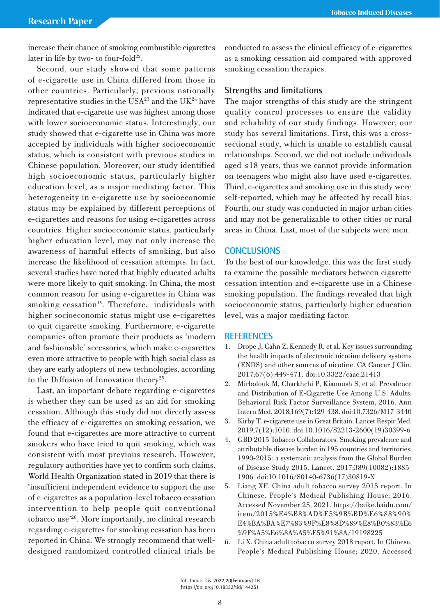increase their chance of smoking combustible cigarettes later in life by two- to four-fold $22$ .

Second, our study showed that some patterns of e-cigarette use in China differed from those in other countries. Particularly, previous nationally representative studies in the USA $^{23}$  and the UK $^{24}$  have indicated that e-cigarette use was highest among those with lower socioeconomic status. Interestingly, our study showed that e-cigarette use in China was more accepted by individuals with higher socioeconomic status, which is consistent with previous studies in Chinese population. Moreover, our study identified high socioeconomic status, particularly higher education level, as a major mediating factor. This heterogeneity in e-cigarette use by socioeconomic status may be explained by different perceptions of e-cigarettes and reasons for using e-cigarettes across countries. Higher socioeconomic status, particularly higher education level, may not only increase the awareness of harmful effects of smoking, but also increase the likelihood of cessation attempts. In fact, several studies have noted that highly educated adults were more likely to quit smoking. In China, the most common reason for using e-cigarettes in China was smoking cessation<sup>19</sup>. Therefore, individuals with higher socioeconomic status might use e-cigarettes to quit cigarette smoking. Furthermore, e-cigarette companies often promote their products as 'modern and fashionable' accessories, which make e-cigarettes even more attractive to people with high social class as they are early adopters of new technologies, according to the Diffusion of Innovation theory<sup>25</sup>.

Last, an important debate regarding e-cigarettes is whether they can be used as an aid for smoking cessation. Although this study did not directly assess the efficacy of e-cigarettes on smoking cessation, we found that e-cigarettes are more attractive to current smokers who have tried to quit smoking, which was consistent with most previous research. However, regulatory authorities have yet to confirm such claims. World Health Organization stated in 2019 that there is 'insufficient independent evidence to support the use of e-cigarettes as a population-level tobacco cessation intervention to help people quit conventional tobacco use'26. More importantly, no clinical research regarding e-cigarettes for smoking cessation has been reported in China. We strongly recommend that welldesigned randomized controlled clinical trials be

conducted to assess the clinical efficacy of e-cigarettes as a smoking cessation aid compared with approved smoking cessation therapies.

# **Strengths and limitations**

The major strengths of this study are the stringent quality control processes to ensure the validity and reliability of our study findings. However, our study has several limitations. First, this was a crosssectional study, which is unable to establish causal relationships. Second, we did not include individuals aged ≤18 years, thus we cannot provide information on teenagers who might also have used e-cigarettes. Third, e-cigarettes and smoking use in this study were self-reported, which may be affected by recall bias. Fourth, our study was conducted in major urban cities and may not be generalizable to other cities or rural areas in China. Last, most of the subjects were men.

# **CONCLUSIONS**

To the best of our knowledge, this was the first study to examine the possible mediators between cigarette cessation intention and e-cigarette use in a Chinese smoking population. The findings revealed that high socioeconomic status, particularly higher education level, was a major mediating factor.

### **REFERENCES**

- 1. Drope J, Cahn Z, Kennedy R, et al. Key issues surrounding the health impacts of electronic nicotine delivery systems (ENDS) and other sources of nicotine. CA Cancer J Clin. 2017;67(6):449-471. doi:10.3322/caac.21413
- 2. Mirbolouk M, Charkhchi P, Kianoush S, et al. Prevalence and Distribution of E-Cigarette Use Among U.S. Adults: Behavioral Risk Factor Surveillance System, 2016. Ann Intern Med. 2018;169(7):429-438. doi:10.7326/M17-3440
- 3. Kirby T. e-cigarette use in Great Britain. Lancet Respir Med. 2019;7(12):1010. doi:10.1016/S2213-2600(19)30399-6
- 4. GBD 2015 Tobacco Collaborators. Smoking prevalence and attributable disease burden in 195 countries and territories, 1990-2015: a systematic analysis from the Global Burden of Disease Study 2015. Lancet. 2017;389(10082):1885- 1906. doi:10.1016/S0140-6736(17)30819-X
- 5. Liang XF. China adult tobacco survey 2015 report. In Chinese. People's Medical Publishing House; 2016. Accessed November 25, 2021. https://baike.baidu.com/ item/2015%E4%B8%AD%E5%9B%BD%E6%88%90% E4%BA%BA%E7%83%9F%E8%8D%89%E8%B0%83%E6 %9F%A5%E6%8A%A5%E5%91%8A/19198225
- 6. Li X. China adult tobacco survey 2018 report. In Chinese. People's Medical Publishing House; 2020. Accessed